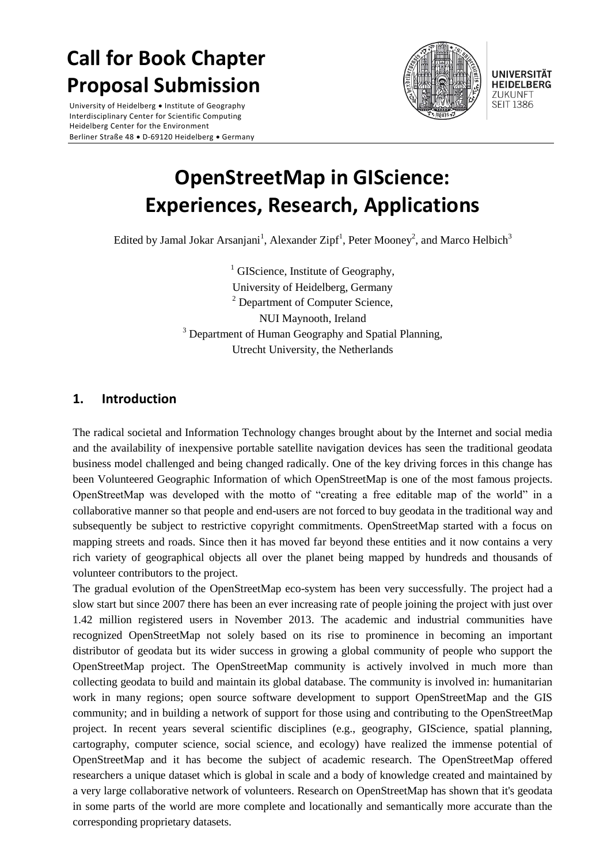# **Call for Book Chapter Proposal Submission**

University of Heidelberg . Institute of Geography Interdisciplinary Center for Scientific Computing Heidelberg Center for the Environment Berliner Straße 48 · D-69120 Heidelberg · Germany



**UNIVERSITÄT HEIDELBERG** ZUKUNFT **SEIT 1386** 

# **OpenStreetMap in GIScience: Experiences, Research, Applications**

Edited by Jamal Jokar Arsanjani<sup>1</sup>, Alexander Zipf<sup>1</sup>, Peter Mooney<sup>2</sup>, and Marco Helbich<sup>3</sup>

 $<sup>1</sup>$  GIScience, Institute of Geography,</sup> University of Heidelberg, Germany  $2$  Department of Computer Science, NUI Maynooth, Ireland <sup>3</sup> Department of Human Geography and Spatial Planning, Utrecht University, the Netherlands

## **1. Introduction**

The radical societal and Information Technology changes brought about by the Internet and social media and the availability of inexpensive portable satellite navigation devices has seen the traditional geodata business model challenged and being changed radically. One of the key driving forces in this change has been Volunteered Geographic Information of which OpenStreetMap is one of the most famous projects. OpenStreetMap was developed with the motto of "creating a free editable map of the world" in a collaborative manner so that people and end-users are not forced to buy geodata in the traditional way and subsequently be subject to restrictive copyright commitments. OpenStreetMap started with a focus on mapping streets and roads. Since then it has moved far beyond these entities and it now contains a very rich variety of geographical objects all over the planet being mapped by hundreds and thousands of volunteer contributors to the project.

The gradual evolution of the OpenStreetMap eco-system has been very successfully. The project had a slow start but since 2007 there has been an ever increasing rate of people joining the project with just over 1.42 million registered users in November 2013. The academic and industrial communities have recognized OpenStreetMap not solely based on its rise to prominence in becoming an important distributor of geodata but its wider success in growing a global community of people who support the OpenStreetMap project. The OpenStreetMap community is actively involved in much more than collecting geodata to build and maintain its global database. The community is involved in: humanitarian work in many regions; open source software development to support OpenStreetMap and the GIS community; and in building a network of support for those using and contributing to the OpenStreetMap project. In recent years several scientific disciplines (e.g., geography, GIScience, spatial planning, cartography, computer science, social science, and ecology) have realized the immense potential of OpenStreetMap and it has become the subject of academic research. The OpenStreetMap offered researchers a unique dataset which is global in scale and a body of knowledge created and maintained by a very large collaborative network of volunteers. Research on OpenStreetMap has shown that it's geodata in some parts of the world are more complete and locationally and semantically more accurate than the corresponding proprietary datasets.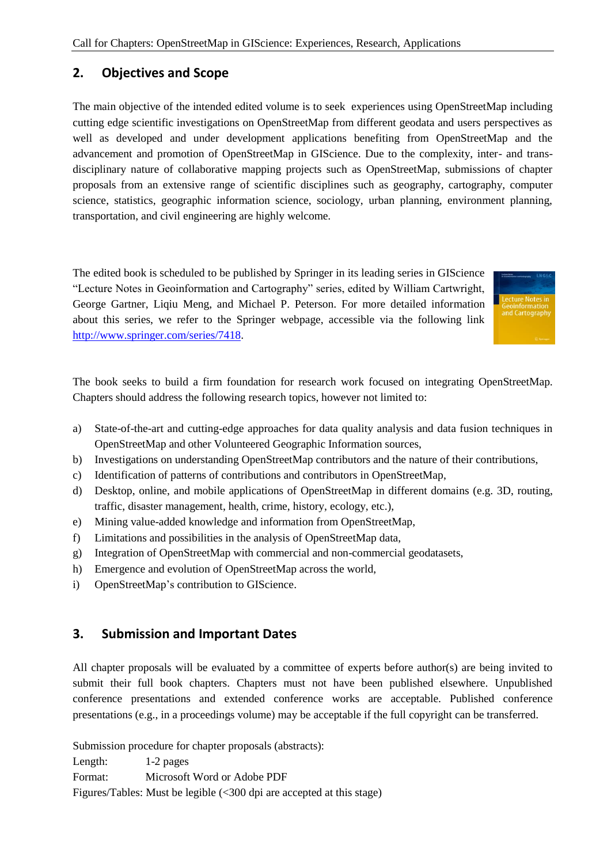## **2. Objectives and Scope**

The main objective of the intended edited volume is to seek experiences using OpenStreetMap including cutting edge scientific investigations on OpenStreetMap from different geodata and users perspectives as well as developed and under development applications benefiting from OpenStreetMap and the advancement and promotion of OpenStreetMap in GIScience. Due to the complexity, inter- and transdisciplinary nature of collaborative mapping projects such as OpenStreetMap, submissions of chapter proposals from an extensive range of scientific disciplines such as geography, cartography, computer science, statistics, geographic information science, sociology, urban planning, environment planning, transportation, and civil engineering are highly welcome.

The edited book is scheduled to be published by Springer in its leading series in GIScience "Lecture Notes in Geoinformation and Cartography" series, edited by William Cartwright, George Gartner, Liqiu Meng, and Michael P. Peterson. For more detailed information about this series, we refer to the Springer webpage, accessible via the following link [http://www.springer.com/series/7418.](http://www.springer.com/series/7418)



The book seeks to build a firm foundation for research work focused on integrating OpenStreetMap. Chapters should address the following research topics, however not limited to:

- a) State-of-the-art and cutting-edge approaches for data quality analysis and data fusion techniques in OpenStreetMap and other Volunteered Geographic Information sources,
- b) Investigations on understanding OpenStreetMap contributors and the nature of their contributions,
- c) Identification of patterns of contributions and contributors in OpenStreetMap,
- d) Desktop, online, and mobile applications of OpenStreetMap in different domains (e.g. 3D, routing, traffic, disaster management, health, crime, history, ecology, etc.),
- e) Mining value-added knowledge and information from OpenStreetMap,
- f) Limitations and possibilities in the analysis of OpenStreetMap data,
- g) Integration of OpenStreetMap with commercial and non-commercial geodatasets,
- h) Emergence and evolution of OpenStreetMap across the world,
- i) OpenStreetMap's contribution to GIScience.

## **3. Submission and Important Dates**

All chapter proposals will be evaluated by a committee of experts before author(s) are being invited to submit their full book chapters. Chapters must not have been published elsewhere. Unpublished conference presentations and extended conference works are acceptable. Published conference presentations (e.g., in a proceedings volume) may be acceptable if the full copyright can be transferred.

Submission procedure for chapter proposals (abstracts):

Length: 1-2 pages

Format: Microsoft Word or Adobe PDF

Figures/Tables: Must be legible (<300 dpi are accepted at this stage)